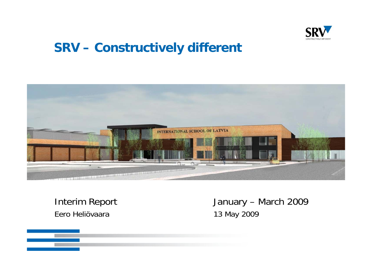

# **SRV – Constructively different**



Eero Heliövaara 13 May 2009

Interim Report January – March 2009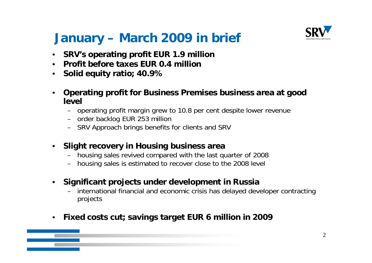# **January – March 2009 in brief**



- •**SRV's operating profit EUR 1.9 million**
- •**Profit before taxes EUR 0.4 million**
- $\bullet$ **S lid it ti 40 9% Solid equity ratio; 40.9%**
- • **Operating profit for Business Premises business area at good level**
	- operating profit margin grew to 10.8 per cent despite lower revenue
	- order backlog EUR 253 million
	- SRV Approach brings benefits for clients and SRV
- • **Slight recovery in Housing business area** 
	- housing sales revived compared with the last quarter of 2008
	- housing sales is estimated to recover close to the 2008 level
- • **Significant projects under development in Russia** 
	- –international financial and economic crisis has delayed developer contracting projects
- •**Fixed costs cut; savings target EUR 6 million in 2009 ; gg**

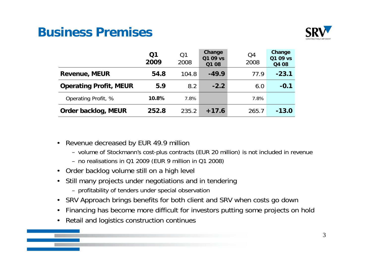# **Business Premises**



|                               | Q <sub>1</sub><br>2009 | Q1<br>2008 | Change<br>Q1 09 vs<br>Q1 08 | Q <sub>4</sub><br>2008 | Change<br>Q1 09 ys<br>Q4 08 |
|-------------------------------|------------------------|------------|-----------------------------|------------------------|-----------------------------|
| <b>Revenue, MEUR</b>          | 54.8                   | 104.8      | $-49.9$                     | 77.9                   | $-23.1$                     |
| <b>Operating Profit, MEUR</b> | 5.9                    | 8.2        | $-2.2$                      | 6.0                    | $-0.1$                      |
| Operating Profit, %           | 10.8%                  | 7.8%       |                             | 7.8%                   |                             |
| Order backlog, MEUR           | 252.8                  | 235.2      | $+17.6$                     | 265.7                  | $-13.0$                     |

- • Revenue decreased by EUR 49.9 million
	- volume of Stockmann's cost-plus contracts (EUR 20 million) is not included in revenue
	- no realisations in Q1 2009 (EUR 9 million in Q1 2008)
- Order backlog volume still on a high level
- Still many projects under negotiations and in tendering
	- profitability of tenders under special observation
- SRV Approach brings benefits for both client and SRV when costs go down
- •Financing has become more difficult for investors putting some projects on hold
- Retail and logistics construction continues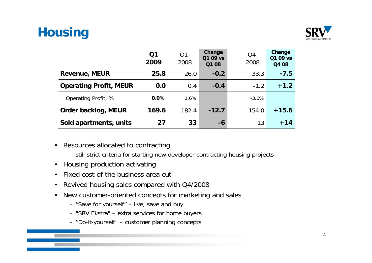# **Housing**



|                               | Q1<br>2009 | Q1<br>2008 | Change<br>Q1 09 ys<br>Q1 08 | Q4<br>2008 | Change<br>Q1 09 vs<br>Q4 08 |
|-------------------------------|------------|------------|-----------------------------|------------|-----------------------------|
| <b>Revenue, MEUR</b>          | 25.8       | 26.0       | $-0.2$                      | 33.3       | $-7.5$                      |
| <b>Operating Profit, MEUR</b> | 0.0        | 0.4        | $-0.4$                      | $-1.2$     | $+1.2$                      |
| Operating Profit, %           | 0.0%       | 1.6%       |                             | $-3.6%$    |                             |
| Order backlog, MEUR           | 169.6      | 182.4      | $-12.7$                     | 154.0      | $+15.6$                     |
| Sold apartments, units        | 27         | 33         | -6                          | 13         | $+14$                       |

- Resources allocated to contracting
	- still strict criteria for starting new developer contracting housing projects
- Housing production activating
- Fixed cost of the business area cut
- •Revived housing sales compared with Q4/2008
- $\bullet$  New customer-oriented concepts for marketing and sales
	- "Save for yourself" live, save and buy
	- "SRV Ekstra" extra services for home buyers
	- "Do-it-yourself" customer planning concepts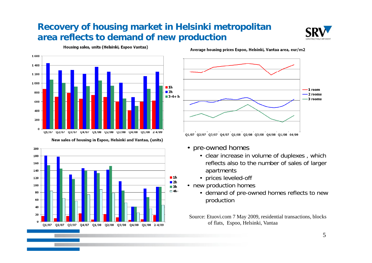#### **Recovery of housing market in Helsinki metropolitan area reflects to demand of new production**





Housing sales, units (Helsinki, Espoo Vantaa)

Average housing prices Espoo, Helsinki, Vantaa area, eur/m2



- pre-owned homes
	- clear increase in volume of duplexes , which reflects also to the number of sales of larger apartments
	- prices leveled-off
	- new production homes
		- demand of pre-owned homes reflects to new production
	- Source: Etuovi.com 7 May 2009, residential transactions, blocks of flats, Espoo, Helsinki, Vantaa



200

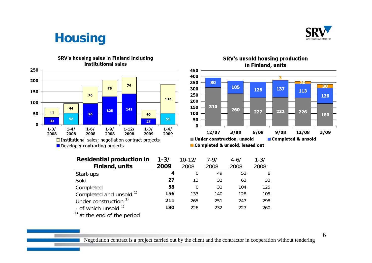

# **Housing**



#### SRV's housing sales in Finland including institutional sales





| <b>Residential production in</b> | $1 - 3/$ | $10 - 12/$ | $7 - 9/$ | $4 - 6/$ | $1 - 3/$ |
|----------------------------------|----------|------------|----------|----------|----------|
| Finland, units                   | 2009     | 2008       | 2008     | 2008     | 2008     |
| Start-ups                        | 4        | 0          | 49       | 53       | 8        |
| Sold                             | 27       | 13         | 32       | 63       | 33       |
| Completed                        | 58       | 0          | 31       | 104      | 125      |
| Completed and unsold 1)          | 156      | 133        | 140      | 128      | 105      |
| Under construction <sup>1)</sup> | 211      | 265        | 251      | 247      | 298      |
| - of which unsold $1$            | 180      | 226        | 232      | 227      | 260      |
| $1$ at the end of the period     |          |            |          |          |          |

Negotiation contract is a project carried out by the client and the contractor in cooperation without tendering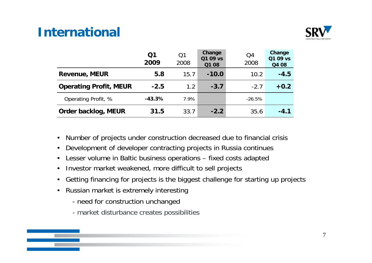# **International**



|                               | Q1<br>2009 | Q1<br>2008 | Change<br>Q1 09 ys<br>Q1 08 | Q4<br>2008 | Change<br>Q1 09 ys<br>Q4 08 |
|-------------------------------|------------|------------|-----------------------------|------------|-----------------------------|
| <b>Revenue, MEUR</b>          | 5.8        | 15.7       | $-10.0$                     | 10.2       | $-4.5$                      |
| <b>Operating Profit, MEUR</b> | $-2.5$     | 1.2        | $-3.7$                      | $-2.7$     | $+0.2$                      |
| Operating Profit, %           | $-43.3%$   | 7.9%       |                             | $-26.5%$   |                             |
| Order backlog, MEUR           | 31.5       | 33.7       | $-2.2$                      | 35.6       | $-4.1$                      |

- •Number of projects under construction decreased due to financial crisis
- •Development of developer contracting projects in Russia continues
- •Lesser volume in Baltic business operations – fixed costs adapted
- $\bullet$ Investor market weakened, more difficult to sell projects
- •Getting financing for projects is the biggest challenge for starting up projects
- $\bullet$  Russian market is extremely interesting
	- need for construction unchanged
	- market disturbance creates possibilities

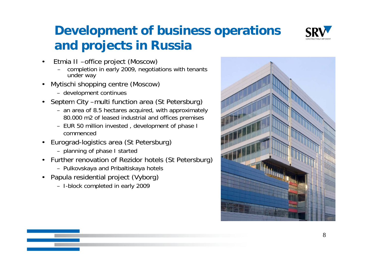

# **Development of business operations and projects in Russia**

- • Etmia II –office project (Moscow)
	- completion in early 2009, negotiations with tenants under way
- • Mytischi shopping centre (Moscow)
	- development continues
- Septem City -multi function area (St Petersburg)
	- an area of 8.5 hectares acquired, with approximately 80.000 m2 of leased industrial and offices premises
	- EUR 50 million invested , development of phase I commenced
- Eurograd-logistics area (St Petersburg)
	- planning of phase I started
- Further renovation of Rezidor hotels (St Petersburg)
	- Pulkovskaya and Pribaltiskaya hotels
- Papula residential project (Vyborg)
	- I-block completed in early 2009

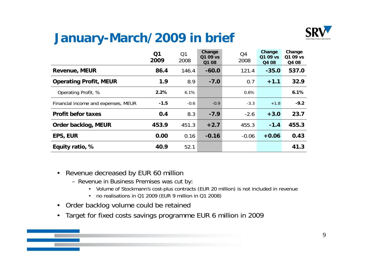# **January-March/2009** in brief



|                                     | Q <sub>1</sub><br>2009 | Q <sub>1</sub><br>2008 | Change<br>Q1 09 vs<br>Q1 08 | Q4<br>2008 | Change<br>Q1 09 vs<br>Q4 08 | Change<br>Q1 09 vs<br>Q4 08 |
|-------------------------------------|------------------------|------------------------|-----------------------------|------------|-----------------------------|-----------------------------|
| <b>Revenue, MEUR</b>                | 86.4                   | 146.4                  | $-60.0$                     | 121.4      | $-35.0$                     | 537.0                       |
| <b>Operating Profit, MEUR</b>       | 1.9                    | 8.9                    | $-7.0$                      | 0.7        | $+1.1$                      | 32.9                        |
| Operating Profit, %                 | 2.2%                   | 6.1%                   |                             | 0.6%       |                             | 6.1%                        |
| Financial income and expenses, MEUR | $-1.5$                 | $-0.6$                 | $-0.9$                      | $-3.3$     | $+1.8$                      | $-9.2$                      |
| <b>Profit befor taxes</b>           | 0.4                    | 8.3                    | $-7.9$                      | $-2.6$     | $+3.0$                      | 23.7                        |
| Order backlog, MEUR                 | 453.9                  | 451.3                  | $+2.7$                      | 455.3      | $-1.4$                      | 455.3                       |
| <b>EPS, EUR</b>                     | 0.00                   | 0.16                   | $-0.16$                     | $-0.06$    | $+0.06$                     | 0.43                        |
| Equity ratio, %                     | 40.9                   | 52.1                   |                             |            |                             | 41.3                        |

- $\bullet$  Revenue decreased by EUR 60 million
	- Revenue in Business Premises was cut by:
		- Volume of Stockmann's cost-plus contracts (EUR 20 million) is not included in revenue
		- no realisations in Q1 2009 (EUR 9 million in Q1 2008)
- Order backlog volume could be retained
- $\bullet$ Target for fixed costs savings programme EUR 6 million in 2009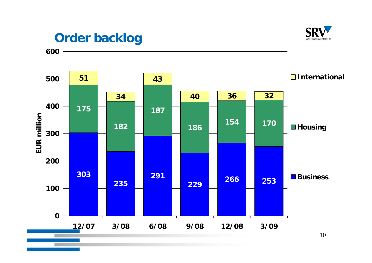

# **Order backlog**

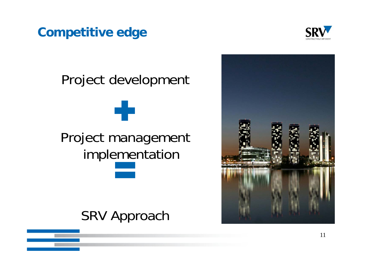# **Competitive edge**



# Project development Project mana gement im plementation

# SRV Approach

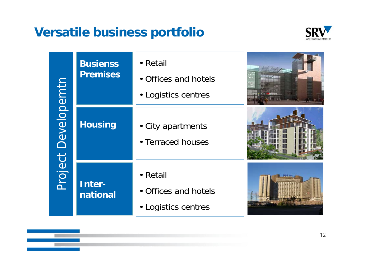# **Versatile business portfolio**



|             | <b>Busienss</b><br><b>Premises</b> | • Retail<br>• Offices and hotels<br>• Logistics centres |  |
|-------------|------------------------------------|---------------------------------------------------------|--|
| Developemtn | <b>Housing</b>                     | • City apartments<br>• Terraced houses                  |  |
| Project     | Inter-<br>national                 | • Retail<br>• Offices and hotels<br>• Logistics centres |  |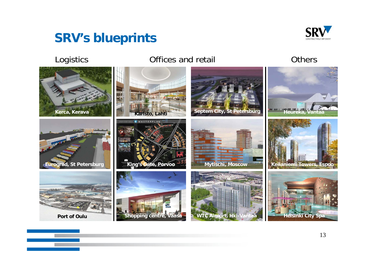# **SRV s' blueprints**



#### Logistics **Contract Contract Contract Contract Contract Contract Contract Contract Contract Contract Contract Contract Contract Contract Contract Contract Contract Contract Contract Contract Contract Contract Contract Cont**

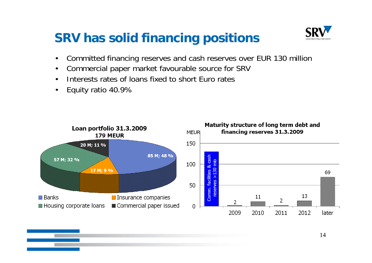# **SRV has solid financing positions**



- $\bullet$ Committed financing reserves and cash reserves over EUR 130 million
- $\bullet$ Commercial paper market favourable source for SRV
- •Interests rates of loans fixed to short Euro rates
- •Equity ratio 40.9%



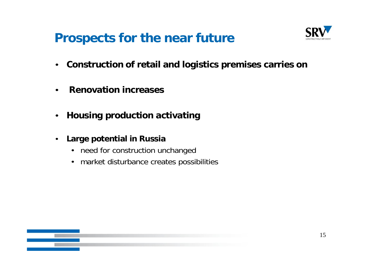# **Prospects for the near future the**



- **Construction of retail and logistics premises carries on**
- •**Renovation increases**
- $\bullet$ **Housing production activating**
- $\bullet$  **Large potential in Russia** 
	- need for construction unchanged
	- market disturbance creates possibilities

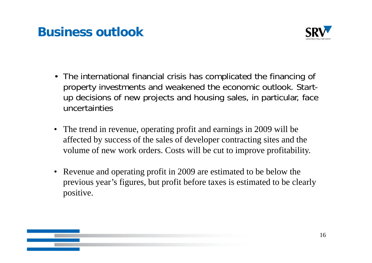# **Business outlook**



- The international financial crisis has complicated the financing of property investments and weakened the economic outlook. Startup decisions of new projects and housing sales, in particular, face uncertainties
- The trend in revenue, operating profit and earnings in 2009 will be affected by success of the sales of developer contracting sites and the volume of new work orders. Costs will be cut to improve profitability.
- Revenue and operating profit in 2009 are estimated to be below the previous year's figures, but profit before taxes is estimated to be clearly positive.

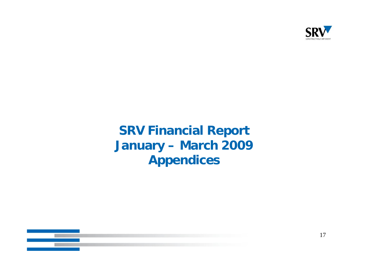

# **SRV Financial Report January – March 2009 Appendices**

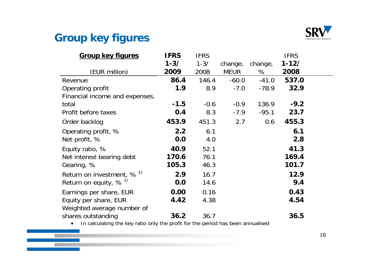

#### **Group** key figures

| <b>Group key figures</b>       | <b>IFRS</b> | <b>IFRS</b> |             |         | <b>IFRS</b> |  |
|--------------------------------|-------------|-------------|-------------|---------|-------------|--|
|                                | $1 - 3/$    | $1 - 3/$    | change,     | change, | $1 - 12/$   |  |
| (EUR million)                  | 2009        | 2008        | <b>MEUR</b> | %       | 2008        |  |
| Revenue                        | 86.4        | 146.4       | $-60.0$     | $-41.0$ | 537.0       |  |
| Operating profit               | 1.9         | 8.9         | $-7.0$      | $-78.9$ | 32.9        |  |
| Financial income and expenses, |             |             |             |         |             |  |
| total                          | $-1.5$      | $-0.6$      | $-0.9$      | 136.9   | $-9.2$      |  |
| Profit before taxes            | 0.4         | 8.3         | $-7.9$      | $-95.1$ | 23.7        |  |
| Order backlog                  | 453.9       | 451.3       | 2.7         | 0.6     | 455.3       |  |
| Operating profit, %            | 2.2         | 6.1         |             |         | 6.1         |  |
| Net profit, %                  | 0.0         | 4.0         |             |         | 2.8         |  |
| Equity ratio, %                | 40.9        | 52.1        |             |         | 41.3        |  |
| Net interest bearing debt      | 170.6       | 76.1        |             |         | 169.4       |  |
| Gearing, %                     | 105.3       | 46.3        |             |         | 101.7       |  |
| Return on investment, $% ^{1}$ | 2.9         | 16.7        |             |         | 12.9        |  |
| Return on equity, $% ^{1}$     | 0.0         | 14.6        |             |         | 9.4         |  |
| Earnings per share, EUR        | 0.00        | 0.16        |             |         | 0.43        |  |
| Equity per share, EUR          | 4.42        | 4.38        |             |         | 4.54        |  |
| Weighted average number of     |             |             |             |         |             |  |
| shares outstanding             | 36.2        | 36.7        |             |         | 36.5        |  |

• In calculating the key ratio only the profit for the period has been annualised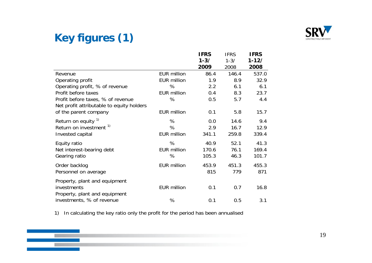

### **Key g () fi ures (1)**

**The State** 

|                                           |                    | <b>IFRS</b> | <b>IFRS</b> | <b>IFRS</b> |
|-------------------------------------------|--------------------|-------------|-------------|-------------|
|                                           |                    | $1 - 3/$    | $1 - 3/$    | $1 - 12/$   |
|                                           |                    | 2009        | 2008        | 2008        |
| Revenue                                   | <b>EUR million</b> | 86.4        | 146.4       | 537.0       |
| Operating profit                          | <b>EUR million</b> | 1.9         | 8.9         | 32.9        |
| Operating profit, % of revenue            | %                  | 2.2         | 6.1         | 6.1         |
| Profit before taxes                       | <b>EUR million</b> | 0.4         | 8.3         | 23.7        |
| Profit before taxes, % of revenue         | %                  | 0.5         | 5.7         | 4.4         |
| Net profit attributable to equity holders |                    |             |             |             |
| of the parent company                     | <b>EUR million</b> | 0.1         | 5.8         | 15.7        |
| Return on equity <sup>1)</sup>            | %                  | 0.0         | 14.6        | 9.4         |
| Return on investment <sup>1)</sup>        | %                  | 2.9         | 16.7        | 12.9        |
| Invested capital                          | <b>EUR million</b> | 341.1       | 259.8       | 339.4       |
| Equity ratio                              | %                  | 40.9        | 52.1        | 41.3        |
| Net interest-bearing debt                 | <b>EUR million</b> | 170.6       | 76.1        | 169.4       |
| Gearing ratio                             | %                  | 105.3       | 46.3        | 101.7       |
| Order backlog                             | <b>EUR million</b> | 453.9       | 451.3       | 455.3       |
| Personnel on average                      |                    | 815         | 779         | 871         |
| Property, plant and equipment             |                    |             |             |             |
| investments                               | <b>EUR million</b> | 0.1         | 0.7         | 16.8        |
| Property, plant and equipment             |                    |             |             |             |
| investments, % of revenue                 | %                  | 0.1         | 0.5         | 3.1         |

1) In calculating the key ratio only the profit for the period has been annualised

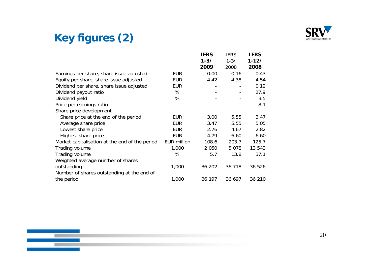

### **Key figures (2)**

|                                                |                    | <b>IFRS</b> | <b>IFRS</b> | <b>IFRS</b> |
|------------------------------------------------|--------------------|-------------|-------------|-------------|
|                                                |                    | $1 - 3/$    | $1 - 3/$    | $1 - 12/$   |
|                                                |                    | 2009        | 2008        | 2008        |
| Earnings per share, share issue adjusted       | <b>EUR</b>         | 0.00        | 0.16        | 0.43        |
| Equity per share, share issue adjusted         | <b>EUR</b>         | 4.42        | 4.38        | 4.54        |
| Dividend per share, share issue adjusted       | <b>EUR</b>         |             |             | 0.12        |
| Dividend payout ratio                          | %                  |             |             | 27.9        |
| Dividend yield                                 | %                  |             |             | 3.5         |
| Price per earnings ratio                       |                    |             |             | 8.1         |
| Share price development                        |                    |             |             |             |
| Share price at the end of the period           | <b>EUR</b>         | 3.00        | 5.55        | 3.47        |
| Average share price                            | <b>EUR</b>         | 3.47        | 5.55        | 5.05        |
| Lowest share price                             | <b>EUR</b>         | 2.76        | 4.67        | 2.82        |
| Highest share price                            | <b>EUR</b>         | 4.79        | 6.60        | 6.60        |
| Market capitalisation at the end of the period | <b>EUR million</b> | 108.6       | 203.7       | 125.7       |
| Trading volume                                 | 1,000              | 2 0 5 0     | 5078        | 13 543      |
| Trading volume                                 | %                  | 5.7         | 13.8        | 37.1        |
| Weighted average number of shares              |                    |             |             |             |
| outstanding                                    | 1,000              | 36 202      | 36 718      | 36 526      |
| Number of shares outstanding at the end of     |                    |             |             |             |
| the period                                     | 1,000              | 36 197      | 36 697      | 36 210      |



20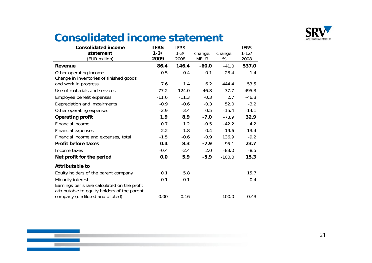

#### **Consolidated income statement**

| <b>Consolidated income</b>                   | <b>IFRS</b> | <b>IFRS</b> |             |          | <b>IFRS</b> |
|----------------------------------------------|-------------|-------------|-------------|----------|-------------|
| statement                                    | $1 - 3/$    | $1 - 3/$    | change,     | change,  | $1 - 12/$   |
| (EUR million)                                | 2009        | 2008        | <b>MEUR</b> | %        | 2008        |
| Revenue                                      | 86.4        | 146.4       | $-60.0$     | $-41.0$  | 537.0       |
| Other operating income                       | 0.5         | 0.4         | 0.1         | 28.4     | 1.4         |
| Change in inventories of finished goods      |             |             |             |          |             |
| and work in progress                         | 7.6         | 1.4         | 6.2         | 444.4    | 53.5        |
| Use of materials and services                | $-77.2$     | $-124.0$    | 46.8        | $-37.7$  | $-495.3$    |
| Employee benefit expenses                    | $-11.6$     | $-11.3$     | $-0.3$      | 2.7      | $-46.3$     |
| Depreciation and impairments                 | $-0.9$      | $-0.6$      | $-0.3$      | 52.0     | $-3.2$      |
| Other operating expenses                     | $-2.9$      | $-3.4$      | 0.5         | $-15.4$  | $-14.1$     |
| <b>Operating profit</b>                      | 1.9         | 8.9         | $-7.0$      | $-78.9$  | 32.9        |
| Financial income                             | 0.7         | 1.2         | $-0.5$      | $-42.2$  | 4.2         |
| Financial expenses                           | $-2.2$      | $-1.8$      | $-0.4$      | 19.6     | $-13.4$     |
| Financial income and expenses, total         | $-1.5$      | $-0.6$      | $-0.9$      | 136.9    | $-9.2$      |
| <b>Profit before taxes</b>                   | 0.4         | 8.3         | $-7.9$      | $-95.1$  | 23.7        |
| Income taxes                                 | $-0.4$      | $-2.4$      | 2.0         | $-83.0$  | $-8.5$      |
| Net profit for the period                    | 0.0         | 5.9         | $-5.9$      | $-100.0$ | 15.3        |
| <b>Attributable to</b>                       |             |             |             |          |             |
| Equity holders of the parent company         | 0.1         | 5.8         |             |          | 15.7        |
| Minority interest                            | $-0.1$      | 0.1         |             |          | $-0.4$      |
| Earnings per share calculated on the profit  |             |             |             |          |             |
| attributable to equity holders of the parent |             |             |             |          |             |
| company (undiluted and diluted)              | 0.00        | 0.16        |             | $-100.0$ | 0.43        |

**START**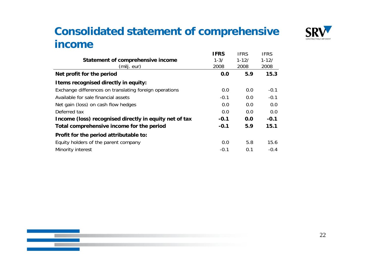#### **Consolidated statement of comprehensive income**



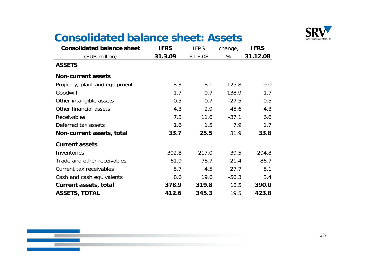

### **Consolidated balance sheet: Assets**

| <b>Consolidated balance sheet</b> | <b>IFRS</b> | <b>IFRS</b> | change, | <b>IFRS</b> |
|-----------------------------------|-------------|-------------|---------|-------------|
| (EUR million)                     | 31.3.09     | 31.3.08     | %       | 31.12.08    |
| <b>ASSETS</b>                     |             |             |         |             |
| <b>Non-current assets</b>         |             |             |         |             |
| Property, plant and equipment     | 18.3        | 8.1         | 125.8   | 19.0        |
| Goodwill                          | 1.7         | 0.7         | 138.9   | 1.7         |
| Other intangible assets           | 0.5         | 0.7         | $-27.5$ | 0.5         |
| Other financial assets            | 4.3         | 2.9         | 45.6    | 4.3         |
| <b>Receivables</b>                | 7.3         | 11.6        | $-37.1$ | 6.6         |
| Deferred tax assets               | 1.6         | 1.5         | 7.9     | 1.7         |
| Non-current assets, total         | 33.7        | 25.5        | 31.9    | 33.8        |
| <b>Current assets</b>             |             |             |         |             |
| Inventories                       | 302.8       | 217.0       | 39.5    | 294.8       |
| Trade and other receivables       | 61.9        | 78.7        | $-21.4$ | 86.7        |
| Current tax receivables           | 5.7         | 4.5         | 27.7    | 5.1         |
| Cash and cash equivalents         | 8.6         | 19.6        | $-56.3$ | 3.4         |
| <b>Current assets, total</b>      | 378.9       | 319.8       | 18.5    | 390.0       |
| <b>ASSETS, TOTAL</b>              | 412.6       | 345.3       | 19.5    | 423.8       |

<u>a sa</u>

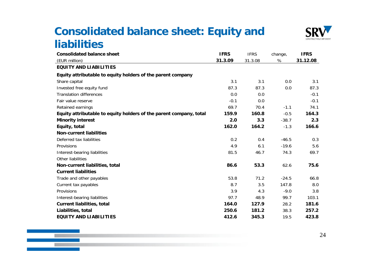#### **Consolidated balance sheet: Equity and liabilities**



| <b>Consolidated balance sheet</b>                                  | <b>IFRS</b> | <b>IFRS</b> | change, | <b>IFRS</b> |
|--------------------------------------------------------------------|-------------|-------------|---------|-------------|
| (EUR million)                                                      | 31.3.09     | 31.3.08     | %       | 31.12.08    |
| <b>EQUITY AND LIABILITIES</b>                                      |             |             |         |             |
| Equity attributable to equity holders of the parent company        |             |             |         |             |
| Share capital                                                      | 3.1         | 3.1         | 0.0     | 3.1         |
| Invested free equity fund                                          | 87.3        | 87.3        | 0.0     | 87.3        |
| <b>Translation differences</b>                                     | 0.0         | 0.0         |         | $-0.1$      |
| Fair value reserve                                                 | $-0.1$      | 0.0         |         | $-0.1$      |
| Retained earnings                                                  | 69.7        | 70.4        | $-1.1$  | 74.1        |
| Equity attributable to equity holders of the parent company, total | 159.9       | 160.8       | $-0.5$  | 164.3       |
| <b>Minority interest</b>                                           | 2.0         | 3.3         | $-38.7$ | 2.3         |
| Equity, total                                                      | 162.0       | 164.2       | $-1.3$  | 166.6       |
| <b>Non-current liabilities</b>                                     |             |             |         |             |
| Deferred tax liabilities                                           | 0.2         | 0.4         | $-46.5$ | 0.3         |
| Provisions                                                         | 4.9         | 6.1         | $-19.6$ | 5.6         |
| Interest-bearing liabilities                                       | 81.5        | 46.7        | 74.3    | 69.7        |
| Other liabilities                                                  |             |             |         |             |
| Non-current liabilities, total                                     | 86.6        | 53.3        | 62.6    | 75.6        |
| <b>Current liabilities</b>                                         |             |             |         |             |
| Trade and other payables                                           | 53.8        | 71.2        | $-24.5$ | 66.8        |
| Current tax payables                                               | 8.7         | 3.5         | 147.8   | 8.0         |
| Provisions                                                         | 3.9         | 4.3         | $-9.0$  | 3.8         |
| Interest-bearing liabilities                                       | 97.7        | 48.9        | 99.7    | 103.1       |
| <b>Current liabilities, total</b>                                  | 164.0       | 127.9       | 28.2    | 181.6       |
| Liabilities, total                                                 | 250.6       | 181.2       | 38.3    | 257.2       |
| <b>EQUITY AND LIABILITIES</b>                                      | 412.6       | 345.3       | 19.5    | 423.8       |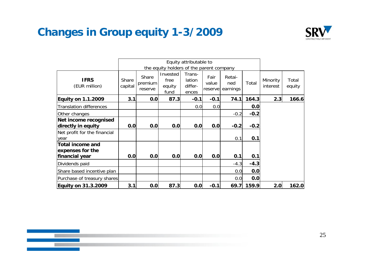#### **Changes in Group equity 1-3/2009**



|                                                               |                  | Equity attributable to      |                                          |                                      |                          |                           |        |                      |                 |
|---------------------------------------------------------------|------------------|-----------------------------|------------------------------------------|--------------------------------------|--------------------------|---------------------------|--------|----------------------|-----------------|
|                                                               |                  |                             | the equity holders of the parent company |                                      |                          |                           |        |                      |                 |
| <b>IFRS</b><br>(EUR million)                                  | Share<br>capital | Share<br>premium<br>reserve | Invested<br>free<br>equity<br>fund       | Trans-<br>lation<br>differ-<br>ences | Fair<br>value<br>reserve | Retai-<br>ned<br>earnings | Total  | Minority<br>interest | Total<br>equity |
| <b>Equity on 1.1.2009</b>                                     | 3.1              | 0.0                         | 87.3                                     | $-0.1$                               | $-0.1$                   | 74.1                      | 164.3  | 2.3                  | 166.6           |
| <b>Translation differences</b>                                |                  |                             |                                          | 0.0                                  | 0.0                      |                           | 0.0    |                      |                 |
| Other changes                                                 |                  |                             |                                          |                                      |                          | $-0.2$                    | $-0.2$ |                      |                 |
| Net income recognised<br>directly in equity                   | 0.0              | 0.0                         | 0.0                                      | 0.0                                  | 0.0                      | $-0.2$                    | $-0.2$ |                      |                 |
| Net profit for the financial<br>year                          |                  |                             |                                          |                                      |                          | 0.1                       | 0.1    |                      |                 |
| <b>Total income and</b><br>expenses for the<br>financial year | 0.0              | 0.0                         | 0.0                                      | 0.0                                  | 0.0                      | 0.1                       | 0.1    |                      |                 |
|                                                               |                  |                             |                                          |                                      |                          |                           |        |                      |                 |
| Dividends paid                                                |                  |                             |                                          |                                      |                          | $-4.3$                    | $-4.3$ |                      |                 |
| Share based incentive plan                                    |                  |                             |                                          |                                      |                          | 0.0                       | 0.0    |                      |                 |
| Purchase of treasury shares                                   |                  |                             |                                          |                                      |                          | 0.0                       | 0.0    |                      |                 |
| <b>Equity on 31.3.2009</b>                                    | 3.1              | 0.0                         | 87.3                                     | 0.0                                  | $-0.1$                   | 69.7                      | 159.9  | 2.0                  | 162.0           |

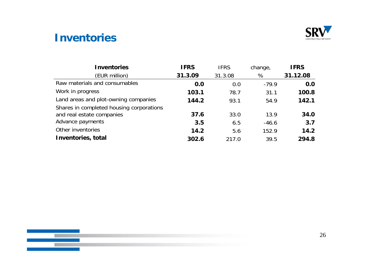

#### **Inventories**

| <b>Inventories</b>                       | <b>IFRS</b> | <b>IFRS</b> | change, | <b>IFRS</b> |
|------------------------------------------|-------------|-------------|---------|-------------|
| (EUR million)                            | 31.3.09     | 31.3.08     | %       | 31.12.08    |
| Raw materials and consumables            | 0.0         | 0.0         | $-79.9$ | 0.0         |
| Work in progress                         | 103.1       | 78.7        | 31.1    | 100.8       |
| Land areas and plot-owning companies     | 144.2       | 93.1        | 54.9    | 142.1       |
| Shares in completed housing corporations |             |             |         |             |
| and real estate companies                | 37.6        | 33.0        | 13.9    | 34.0        |
| Advance payments                         | 3.5         | 6.5         | $-46.6$ | 3.7         |
| Other inventories                        | 14.2        | 5.6         | 152.9   | 14.2        |
| Inventories, total                       | 302.6       | 217.0       | 39.5    | 294.8       |

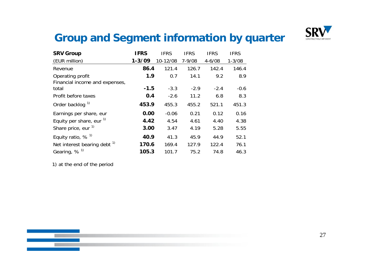

#### **Group g yq and Segment information by quarter**

| <b>SRV Group</b>                | <b>IFRS</b> | <b>IFRS</b> | <b>IFRS</b> | <b>IFRS</b> | <b>IFRS</b> |
|---------------------------------|-------------|-------------|-------------|-------------|-------------|
| (EUR million)                   | $1 - 3/09$  | 10-12/08    | $7 - 9/08$  | $4 - 6/08$  | $1 - 3/08$  |
| Revenue                         | 86.4        | 121.4       | 126.7       | 142.4       | 146.4       |
| Operating profit                | 1.9         | 0.7         | 14.1        | 9.2         | 8.9         |
| Financial income and expenses,  |             |             |             |             |             |
| total                           | $-1.5$      | $-3.3$      | $-2.9$      | $-2.4$      | $-0.6$      |
| Profit before taxes             | 0.4         | $-2.6$      | 11.2        | 6.8         | 8.3         |
| Order backlog <sup>1)</sup>     | 453.9       | 455.3       | 455.2       | 521.1       | 451.3       |
| Earnings per share, eur         | 0.00        | $-0.06$     | 0.21        | 0.12        | 0.16        |
| Equity per share, eur $1$       | 4.42        | 4.54        | 4.61        | 4.40        | 4.38        |
| Share price, eur <sup>1)</sup>  | 3.00        | 3.47        | 4.19        | 5.28        | 5.55        |
| Equity ratio, $%$ <sup>1)</sup> | 40.9        | 41.3        | 45.9        | 44.9        | 52.1        |
| Net interest bearing debt $1$   | 170.6       | 169.4       | 127.9       | 122.4       | 76.1        |
| Gearing, $%$ <sup>1)</sup>      | 105.3       | 101.7       | 75.2        | 74.8        | 46.3        |

1) at the end of the period

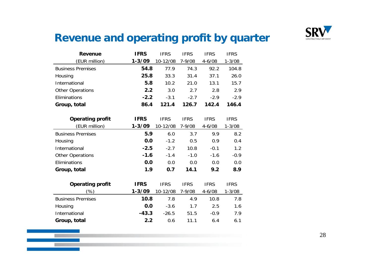

#### **Revenue and operating profit by quarter**

| <b>Revenue</b>           | <b>IFRS</b> | <b>IFRS</b> | <b>IFRS</b> | <b>IFRS</b> | <b>IFRS</b> |
|--------------------------|-------------|-------------|-------------|-------------|-------------|
| (EUR million)            | $1 - 3/09$  | 10-12/08    | $7 - 9/08$  | $4 - 6/08$  | $1 - 3/08$  |
| <b>Business Premises</b> | 54.8        | 77.9        | 74.3        | 92.2        | 104.8       |
| Housing                  | 25.8        | 33.3        | 31.4        | 37.1        | 26.0        |
| International            | 5.8         | 10.2        | 21.0        | 13.1        | 15.7        |
| <b>Other Operations</b>  | 2.2         | 3.0         | 2.7         | 2.8         | 2.9         |
| Eliminations             | $-2.2$      | $-3.1$      | $-2.7$      | $-2.9$      | $-2.9$      |
| Group, total             | 86.4        | 121.4       | 126.7       | 142.4       | 146.4       |
|                          |             |             |             |             |             |
| <b>Operating profit</b>  | <b>IFRS</b> | <b>IFRS</b> | <b>IFRS</b> | <b>IFRS</b> | <b>IFRS</b> |
| (EUR million)            | $1 - 3/09$  | 10-12/08    | 7-9/08      | $4 - 6/08$  | $1 - 3/08$  |
| <b>Business Premises</b> | 5.9         | 6.0         | 3.7         | 9.9         | 8.2         |
| Housing                  | 0.0         | $-1.2$      | 0.5         | 0.9         | 0.4         |
| International            | $-2.5$      | $-2.7$      | 10.8        | $-0.1$      | 1.2         |
| <b>Other Operations</b>  | $-1.6$      | $-1.4$      | $-1.0$      | $-1.6$      | $-0.9$      |
| Eliminations             | 0.0         | 0.0         | 0.0         | 0.0         | 0.0         |
| Group, total             | 1.9         | 0.7         | 14.1        | 9.2         | 8.9         |
|                          |             |             |             |             |             |
| <b>Operating profit</b>  | <b>IFRS</b> | <b>IFRS</b> | <b>IFRS</b> | <b>IFRS</b> | <b>IFRS</b> |
| $(\%)$                   | $1 - 3/09$  | 10-12/08    | 7-9/08      | $4 - 6/08$  | $1 - 3/08$  |
| <b>Business Premises</b> | 10.8        | 7.8         | 4.9         | 10.8        | 7.8         |
| Housing                  | 0.0         | $-3.6$      | 1.7         | 2.5         | 1.6         |
| International            | $-43.3$     | $-26.5$     | 51.5        | $-0.9$      | 7.9         |
| Group, total             | 2.2         | 0.6         | 11.1        | 6.4         | 6.1         |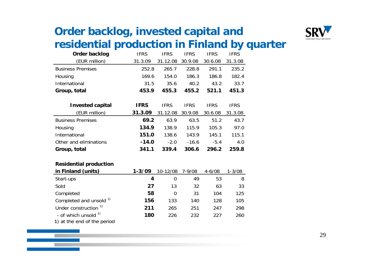

#### **Order backlog, invested capital and**  residential production in Finland by quarter

| Order backlog            | <b>IFRS</b> | <b>IFRS</b> | <b>IFRS</b> | <b>IFRS</b> | <b>IFRS</b> |
|--------------------------|-------------|-------------|-------------|-------------|-------------|
| (EUR million)            | 31.3.09     | 31.12.08    | 30.9.08     | 30.6.08     | 31.3.08     |
| <b>Business Premises</b> | 252.8       | 265.7       | 228.8       | 291.1       | 235.2       |
| Housing                  | 169.6       | 154.0       | 186.3       | 186.8       | 182.4       |
| International            | 31.5        | 35.6        | 40.2        | 43.2        | 33.7        |
| Group, total             | 453.9       | 455.3       | 455.2       | 521.1       | 451.3       |
|                          |             |             |             |             |             |
| <b>Invested capital</b>  | <b>IFRS</b> | <b>IFRS</b> | <b>IFRS</b> | <b>IFRS</b> | <b>IFRS</b> |
| (EUR million)            | 31.3.09     | 31.12.08    | 30.9.08     | 30.6.08     | 31.3.08     |
| <b>Business Premises</b> | 69.2        | 63.9        | 63.5        | 51.2        | 43.7        |
| Housing                  | 134.9       | 138.9       | 115.9       | 105.3       | 97.0        |
| International            | 151.0       | 138.6       | 143.9       | 145.1       | 115.1       |
| Other and eliminations   | $-14.0$     | $-2.0$      | $-16.6$     | $-5.4$      | 4.0         |
| Group, total             | 341.1       | 339.4       | 306.6       | 296.2       | 259.8       |
|                          |             |             |             |             |             |

#### **Residential production**

| in Finland (units)               | $1 - 3/09$ | 10-12/08 | 7-9/08 | $4 - 6/08$ | 1-3/08 |
|----------------------------------|------------|----------|--------|------------|--------|
| Start-ups                        | 4          | $\left($ | 49     | 53         | 8      |
| Sold                             | 27         | 13       | 32     | 63         | 33     |
| Completed                        | 58         | 0        | 31     | 104        | 125    |
| Completed and unsold 1)          | 156        | 133      | 140    | 128        | 105    |
| Under construction <sup>1)</sup> | 211        | 265      | 251    | 247        | 298    |
| - of which unsold <sup>1)</sup>  | 180        | 226      | 232    | 227        | 260    |
| 1) at the and of the noriad      |            |          |        |            |        |

1) at the end of the period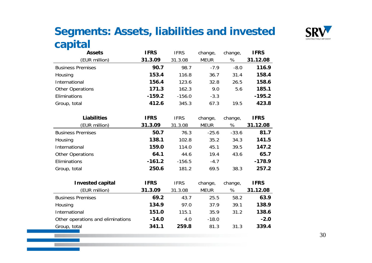#### **Segments: Assets, liabilities and invested capital**



| - I F                             |             |             |             |         |             |
|-----------------------------------|-------------|-------------|-------------|---------|-------------|
| <b>Assets</b>                     | <b>IFRS</b> | <b>IFRS</b> | change,     | change, | <b>IFRS</b> |
| (EUR million)                     | 31.3.09     | 31.3.08     | <b>MEUR</b> | %       | 31.12.08    |
| <b>Business Premises</b>          | 90.7        | 98.7        | $-7.9$      | $-8.0$  | 116.9       |
| Housing                           | 153.4       | 116.8       | 36.7        | 31.4    | 158.4       |
| International                     | 156.4       | 123.6       | 32.8        | 26.5    | 158.6       |
| Other Operations                  | 171.3       | 162.3       | 9.0         | 5.6     | 185.1       |
| Eliminations                      | $-159.2$    | $-156.0$    | $-3.3$      |         | $-195.2$    |
| Group, total                      | 412.6       | 345.3       | 67.3        | 19.5    | 423.8       |
|                                   |             |             |             |         |             |
| <b>Liabilities</b>                | <b>IFRS</b> | <b>IFRS</b> | change,     | change, | <b>IFRS</b> |
| (EUR million)                     | 31.3.09     | 31.3.08     | <b>MEUR</b> | %       | 31.12.08    |
| <b>Business Premises</b>          | 50.7        | 76.3        | $-25.6$     | $-33.6$ | 81.7        |
| Housing                           | 138.1       | 102.8       | 35.2        | 34.3    | 141.5       |
| International                     | 159.0       | 114.0       | 45.1        | 39.5    | 147.2       |
| Other Operations                  | 64.1        | 44.6        | 19.4        | 43.6    | 65.7        |
| Eliminations                      | $-161.2$    | $-156.5$    | $-4.7$      |         | $-178.9$    |
| Group, total                      | 250.6       | 181.2       | 69.5        | 38.3    | 257.2       |
|                                   |             |             |             |         |             |
| <b>Invested capital</b>           | <b>IFRS</b> | <b>IFRS</b> | change,     | change, | <b>IFRS</b> |
| (EUR million)                     | 31.3.09     | 31.3.08     | <b>MEUR</b> | %       | 31.12.08    |
| <b>Business Premises</b>          | 69.2        | 43.7        | 25.5        | 58.2    | 63.9        |
| Housing                           | 134.9       | 97.0        | 37.9        | 39.1    | 138.9       |
| International                     | 151.0       | 115.1       | 35.9        | 31.2    | 138.6       |
| Other operations and eliminations | $-14.0$     | 4.0         | $-18.0$     |         | $-2.0$      |
| Group, total                      | 341.1       | 259.8       | 81.3        | 31.3    | 339.4       |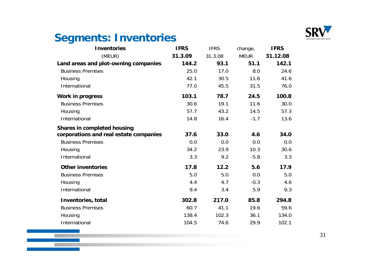

#### **Segments: Inventories**

**Talling** 

| <b>Inventories</b>                     | <b>IFRS</b> | <b>IFRS</b> | change,     | <b>IFRS</b> |
|----------------------------------------|-------------|-------------|-------------|-------------|
| (MEUR)                                 | 31.3.09     | 31.3.08     | <b>MEUR</b> | 31.12.08    |
| Land areas and plot-owning companies   | 144.2       | 93.1        | 51.1        | 142.1       |
| <b>Business Premises</b>               | 25.0        | 17.0        | 8.0         | 24.6        |
| Housing                                | 42.1        | 30.5        | 11.6        | 41.6        |
| International                          | 77.0        | 45.5        | 31.5        | 76.0        |
| <b>Work in progress</b>                | 103.1       | 78.7        | 24.5        | 100.8       |
| <b>Business Premises</b>               | 30.6        | 19.1        | 11.6        | 30.0        |
| Housing                                | 57.7        | 43.2        | 14.5        | 57.3        |
| International                          | 14.8        | 16.4        | $-1.7$      | 13.6        |
| <b>Shares in completed housing</b>     |             |             |             |             |
| corporations and real estate companies | 37.6        | 33.0        | 4.6         | 34.0        |
| <b>Business Premises</b>               | 0.0         | 0.0         | 0.0         | 0.0         |
| Housing                                | 34.2        | 23.9        | 10.3        | 30.6        |
| International                          | 3.3         | 9.2         | $-5.8$      | 3.3         |
| <b>Other inventories</b>               | 17.8        | 12.2        | 5.6         | 17.9        |
| <b>Business Premises</b>               | 5.0         | 5.0         | 0.0         | 5.0         |
| Housing                                | 4.4         | 4.7         | $-0.3$      | 4.6         |
| International                          | 9.4         | 3.4         | 5.9         | 9.3         |
| Inventories, total                     | 302.8       | 217.0       | 85.8        | 294.8       |
| <b>Business Premises</b>               | 60.7        | 41.1        | 19.6        | 59.6        |
| Housing                                | 138.4       | 102.3       | 36.1        | 134.0       |
| International                          | 104.5       | 74.6        | 29.9        | 102.1       |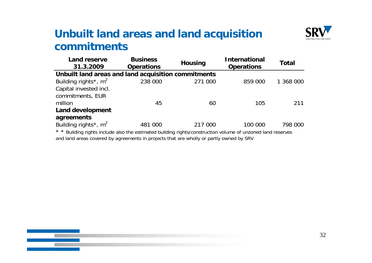#### **Unbuilt land areas and land acquisition commitments**



| <b>Land reserve</b><br>31.3.2009                                                                            | <b>Business</b><br><b>Operations</b> | <b>Housing</b> | <b>International</b><br><b>Operations</b> |           |
|-------------------------------------------------------------------------------------------------------------|--------------------------------------|----------------|-------------------------------------------|-----------|
| Unbuilt land areas and land acquisition commitments                                                         |                                      |                |                                           |           |
| Building rights <sup>*</sup> , $m^2$                                                                        | 238 000                              | 271 000        | 859 000                                   | 1 368 000 |
| Capital invested incl.                                                                                      |                                      |                |                                           |           |
| commitments, EUR                                                                                            |                                      |                |                                           |           |
| million                                                                                                     | 45                                   | 60             | 105                                       | 211       |
| Land development                                                                                            |                                      |                |                                           |           |
| agreements                                                                                                  |                                      |                |                                           |           |
| Building rights <sup>*</sup> , $m^2$                                                                        | 481 000                              | 217 000        | 100 000                                   | 798 000   |
| * * Building rights include also the estimated building rights/construction volume of unzoned land reserves |                                      |                |                                           |           |

Building rights include also the estimated building rights/construction volume of unzoned land reserves and land areas covered by agreements in projects that are wholly or partly owned by SRV

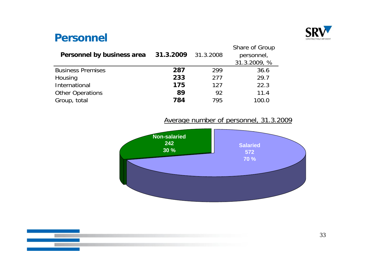

#### **Personnel**

| Personnel by business area | 31.3.2009 | 31.3.2008 | Share of Group<br>personnel,<br>31.3.2009, % |
|----------------------------|-----------|-----------|----------------------------------------------|
| <b>Business Premises</b>   | 287       | 299       | 36.6                                         |
| Housing                    | 233       | 277       | 29.7                                         |
| International              | 175       | 127       | 22.3                                         |
| <b>Other Operations</b>    | 89        | 92        | 11.4                                         |
| Group, total               | 784       | 795       | 100.0                                        |

Average number of personnel, 31.3.2009



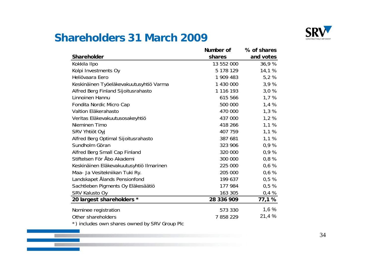

#### **Shareholders 31 March 2009**

**The Contract** 

|                                               | Number of  | % of shares |
|-----------------------------------------------|------------|-------------|
| <b>Shareholder</b>                            | shares     | and votes   |
| Kokkila Ilpo                                  | 13 552 000 | 36,9%       |
| Kolpi Investments Oy                          | 5 178 129  | 14,1 %      |
| Heliövaara Eero                               | 1 909 483  | 5,2 %       |
| Keskinäinen Työeläkevakuutusyhtiö Varma       | 1 430 000  | 3,9%        |
| Alfred Berg Finland Sijoitusrahasto           | 1 116 193  | 3,0%        |
| Linnoinen Hannu                               | 615 566    | 1,7%        |
| Fondita Nordic Micro Cap                      | 500 000    | 1,4%        |
| Valtion Eläkerahasto                          | 470 000    | 1,3%        |
| Veritas Eläkevakuutusosakeyhtiö               | 437 000    | 1,2%        |
| Nieminen Timo                                 | 418 266    | 1,1%        |
| SRV Yhtiöt Oyj                                | 407 759    | 1,1%        |
| Alfred Berg Optimal Sijoitusrahasto           | 387 681    | 1,1%        |
| Sundholm Göran                                | 323 906    | 0,9%        |
| Alfred Berg Small Cap Finland                 | 320 000    | 0,9%        |
| Stiftelsen För Åbo Akademi                    | 300 000    | 0,8%        |
| Keskinäinen Eläkevakuutusyhtiö Ilmarinen      | 225 000    | 0,6%        |
| Maa- Ja Vesitekniikan Tuki Ry.                | 205 000    | 0,6%        |
| Landskapet Ålands Pensionfond                 | 199 637    | 0,5%        |
| Sachtleben Pigments Oy Eläkesäätiö            | 177 984    | 0,5%        |
| SRV Kalusto Oy                                | 163 305    | 0,4%        |
| 20 largest shareholders *                     | 28 336 909 | 77,1 %      |
| Nominee registration                          | 573 330    | 1,6%        |
| Other shareholders                            | 7858229    | 21,4 %      |
| *) includes own shares owned by SRV Group Plc |            |             |